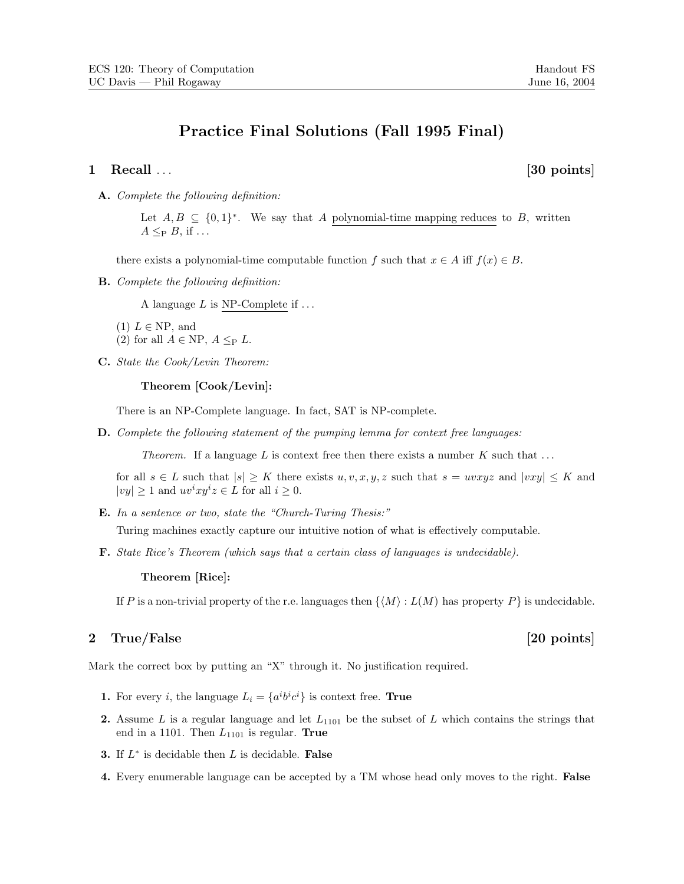# Practice Final Solutions (Fall 1995 Final)

### 1 Recall . . . [30 points]

A. Complete the following definition:

Let  $A, B \subseteq \{0,1\}^*$ . We say that A polynomial-time mapping reduces to B, written  $A \leq_{P} B$ , if ...

there exists a polynomial-time computable function f such that  $x \in A$  iff  $f(x) \in B$ .

B. Complete the following definition:

A language  $L$  is NP-Complete if  $\ldots$ 

- $(1)$   $L \in \text{NP}$ , and
- (2) for all  $A \in \text{NP}$ ,  $A \leq_P L$ .
- C. State the Cook/Levin Theorem:

Theorem [Cook/Levin]:

There is an NP-Complete language. In fact, SAT is NP-complete.

D. Complete the following statement of the pumping lemma for context free languages:

Theorem. If a language L is context free then there exists a number  $K$  such that ...

for all  $s \in L$  such that  $|s| \geq K$  there exists  $u, v, x, y, z$  such that  $s = uvxyz$  and  $|vxy| \leq K$  and  $|vy| \geq 1$  and  $uv^i xy^i z \in L$  for all  $i \geq 0$ .

E. In a sentence or two, state the "Church-Turing Thesis:"

Turing machines exactly capture our intuitive notion of what is effectively computable.

F. State Rice's Theorem (which says that a certain class of languages is undecidable).

Theorem [Rice]:

If P is a non-trivial property of the r.e. languages then  $\{M : L(M)$  has property P is undecidable.

## 2 True/False [20 points]

Mark the correct box by putting an "X" through it. No justification required.

- **1.** For every *i*, the language  $L_i = \{a^i b^i c^i\}$  is context free. **True**
- 2. Assume L is a regular language and let  $L_{1101}$  be the subset of L which contains the strings that end in a 1101. Then  $L_{1101}$  is regular. True
- **3.** If  $L^*$  is decidable then  $L$  is decidable. **False**
- 4. Every enumerable language can be accepted by a TM whose head only moves to the right. False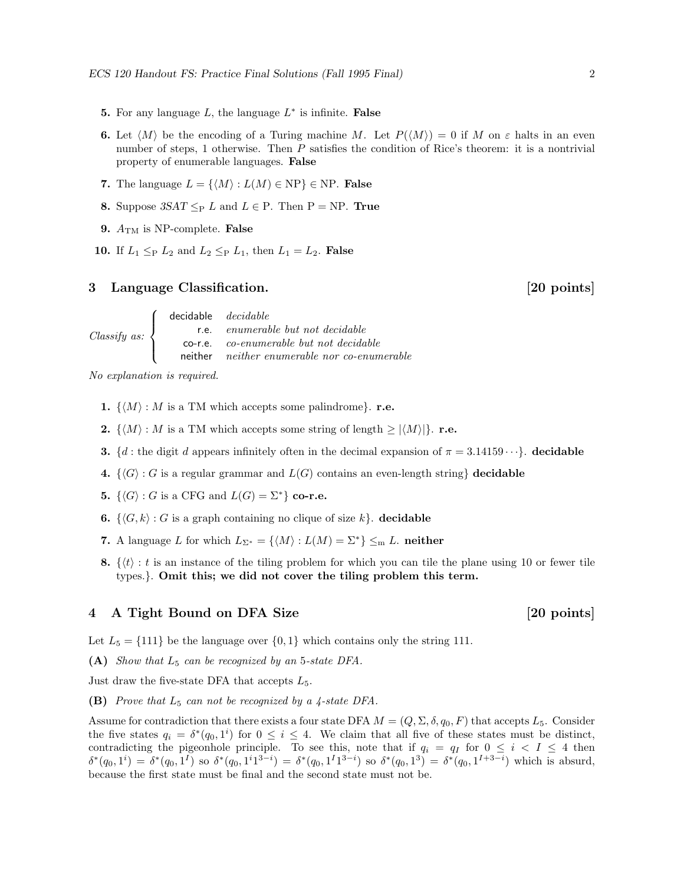- **5.** For any language  $L$ , the language  $L^*$  is infinite. **False**
- 6. Let  $\langle M \rangle$  be the encoding of a Turing machine M. Let  $P(\langle M \rangle) = 0$  if M on  $\varepsilon$  halts in an even number of steps, 1 otherwise. Then  $P$  satisfies the condition of Rice's theorem: it is a nontrivial property of enumerable languages. False
- 7. The language  $L = \{ \langle M \rangle : L(M) \in \text{NP} \} \in \text{NP}$ . False
- 8. Suppose  $3SAT \leq_P L$  and  $L \in P$ . Then  $P = NP$ . True
- **9.**  $A_{\text{TM}}$  is NP-complete. **False**
- 10. If  $L_1 \leq_{\text{P}} L_2$  and  $L_2 \leq_{\text{P}} L_1$ , then  $L_1 = L_2$ . False

### 3 Language Classification. [20 points]

Classify as:  $\sqrt{ }$  $\int$  $\overline{\mathcal{L}}$ decidable *decidable* r.e. enumerable but not decidable co-r.e. co-enumerable but not decidable neither neither enumerable nor co-enumerable

No explanation is required.

- 1.  $\{M : M$  is a TM which accepts some palindrome}. r.e.
- **2.**  $\{\langle M \rangle : M \text{ is a TM which accepts some string of length } \geq |\langle M \rangle| \}.$  **r.e.**
- **3.** {d : the digit d appears infinitely often in the decimal expansion of  $\pi = 3.14159 \cdots$ }. decidable
- 4.  $\{\langle G \rangle : G$  is a regular grammar and  $L(G)$  contains an even-length string} decidable
- **5.**  $\{\langle G \rangle : G \text{ is a CFG and } L(G) = \Sigma^*\}\text{ co-r.e.}$
- **6.**  $\{\langle G, k \rangle : G$  is a graph containing no clique of size k. **decidable**
- 7. A language L for which  $L_{\Sigma^*} = \{ \langle M \rangle : L(M) = \Sigma^* \} \leq_m L$ . neither
- 8.  $\{(t): t$  is an instance of the tiling problem for which you can tile the plane using 10 or fewer tile types.}. Omit this; we did not cover the tiling problem this term.

# 4 A Tight Bound on DFA Size [20 points]

Let  $L_5 = \{111\}$  be the language over  $\{0, 1\}$  which contains only the string 111.

(A) Show that  $L_5$  can be recognized by an 5-state DFA.

Just draw the five-state DFA that accepts  $L_5$ .

**(B)** Prove that  $L_5$  can not be recognized by a 4-state DFA.

Assume for contradiction that there exists a four state DFA  $M = (Q, \Sigma, \delta, q_0, F)$  that accepts  $L_5$ . Consider the five states  $q_i = \delta^*(q_0, 1^i)$  for  $0 \leq i \leq 4$ . We claim that all five of these states must be distinct, contradicting the pigeonhole principle. To see this, note that if  $q_i = q_i$  for  $0 \leq i \leq I \leq 4$  then  $\delta^*(q_0, 1^i) = \delta^*(q_0, 1^I)$  so  $\delta^*(q_0, 1^i 1^{3-i}) = \delta^*(q_0, 1^I 1^{3-i})$  so  $\delta^*(q_0, 1^3) = \delta^*(q_0, 1^{I+3-i})$  which is absurd, because the first state must be final and the second state must not be.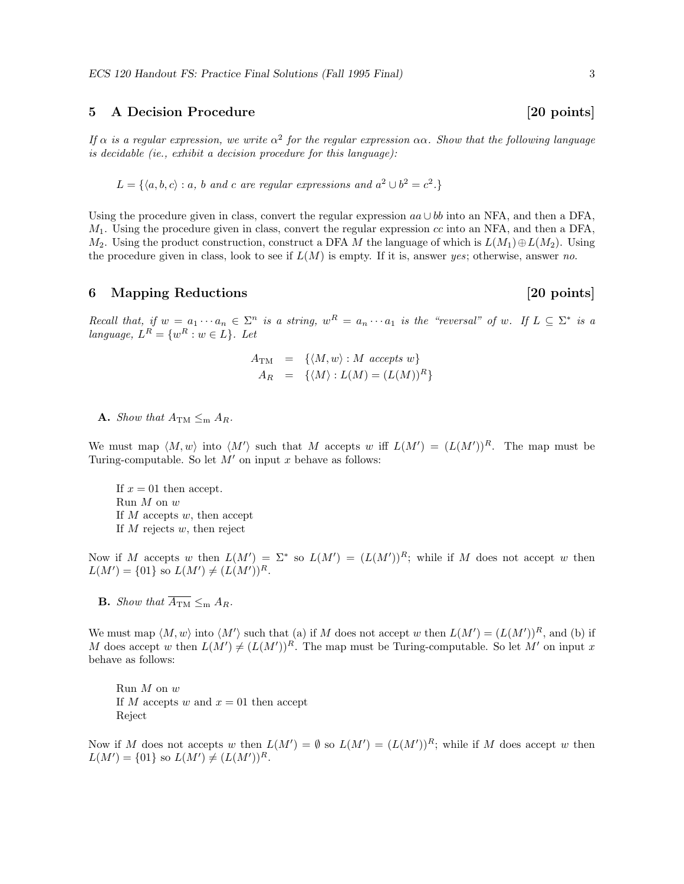### 5 A Decision Procedure [20 points]

If  $\alpha$  is a regular expression, we write  $\alpha^2$  for the regular expression  $\alpha\alpha$ . Show that the following language is decidable (ie., exhibit a decision procedure for this language):

 $L = \{ \langle a, b, c \rangle : a, b \text{ and } c \text{ are regular expressions and } a^2 \cup b^2 = c^2. \}$ 

Using the procedure given in class, convert the regular expression  $aa \cup bb$  into an NFA, and then a DFA,  $M_1$ . Using the procedure given in class, convert the regular expression cc into an NFA, and then a DFA,  $M_2$ . Using the product construction, construct a DFA M the language of which is  $L(M_1) \oplus L(M_2)$ . Using the procedure given in class, look to see if  $L(M)$  is empty. If it is, answer yes; otherwise, answer no.

### 6 Mapping Reductions [20 points]

Recall that, if  $w = a_1 \cdots a_n \in \Sigma^n$  is a string,  $w^R = a_n \cdots a_1$  is the "reversal" of w. If  $L \subseteq \Sigma^*$  is a language,  $L^R = \{w^R : w \in L\}$ . Let

$$
A_{\text{TM}} = \{ \langle M, w \rangle : M \text{ accepts } w \}
$$
  

$$
A_R = \{ \langle M \rangle : L(M) = (L(M))^R \}
$$

**A.** Show that  $A_{\text{TM}} \leq_{\text{m}} A_R$ .

We must map  $\langle M, w \rangle$  into  $\langle M' \rangle$  such that M accepts w iff  $L(M') = (L(M'))^R$ . The map must be Turing-computable. So let  $M'$  on input x behave as follows:

If  $x = 01$  then accept. Run M on w If  $M$  accepts  $w$ , then accept If  $M$  rejects  $w$ , then reject

Now if M accepts w then  $L(M') = \Sigma^*$  so  $L(M') = (L(M'))^R$ ; while if M does not accept w then  $L(M') = \{01\}$  so  $L(M') \neq (L(M'))^R$ .

**B.** Show that  $\overline{A_{\text{TM}}} \leq_{\text{m}} A_R$ .

We must map  $\langle M, w \rangle$  into  $\langle M' \rangle$  such that (a) if M does not accept w then  $L(M') = (L(M'))^R$ , and (b) if M does accept w then  $L(M') \neq (L(M'))^R$ . The map must be Turing-computable. So let M' on input x behave as follows:

Run  $M$  on  $w$ If M accepts w and  $x = 01$  then accept Reject

Now if M does not accepts w then  $L(M') = \emptyset$  so  $L(M') = (L(M'))^R$ ; while if M does accept w then  $L(M') = \{01\}$  so  $L(M') \neq (L(M'))^R$ .